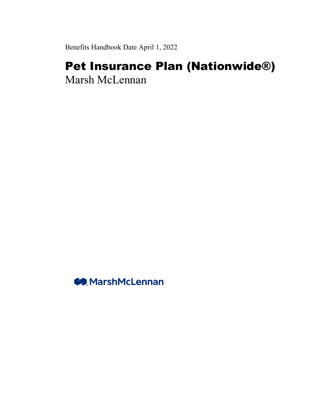Benefits Handbook Date April 1, 2022

# Pet Insurance Plan (Nationwide®) Marsh McLennan

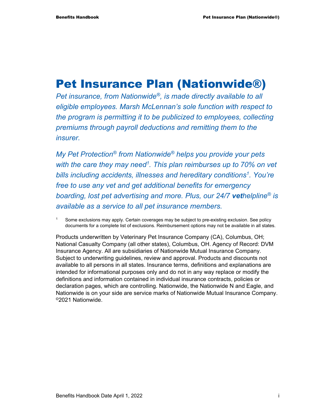# Pet Insurance Plan (Nationwide®)

*Pet insurance, from Nationwide®, is made directly available to all eligible employees. Marsh McLennan's sole function with respect to the program is permitting it to be publicized to employees, collecting premiums through payroll deductions and remitting them to the insurer.* 

*My Pet Protection® from Nationwide® helps you provide your pets with the care they may need1 . This plan reimburses up to 70% on vet bills including accidents, illnesses and hereditary conditions1. You're free to use any vet and get additional benefits for emergency boarding, lost pet advertising and more. Plus, our 24/7 vethelpline® is available as a service to all pet insurance members.* 

Some exclusions may apply. Certain coverages may be subject to pre-existing exclusion. See policy documents for a complete list of exclusions. Reimbursement options may not be available in all states.

Products underwritten by Veterinary Pet Insurance Company (CA), Columbus, OH; National Casualty Company (all other states), Columbus, OH. Agency of Record: DVM Insurance Agency. All are subsidiaries of Nationwide Mutual Insurance Company. Subject to underwriting guidelines, review and approval. Products and discounts not available to all persons in all states. Insurance terms, definitions and explanations are intended for informational purposes only and do not in any way replace or modify the definitions and information contained in individual insurance contracts, policies or declaration pages, which are controlling. Nationwide, the Nationwide N and Eagle, and Nationwide is on your side are service marks of Nationwide Mutual Insurance Company. ©2021 Nationwide.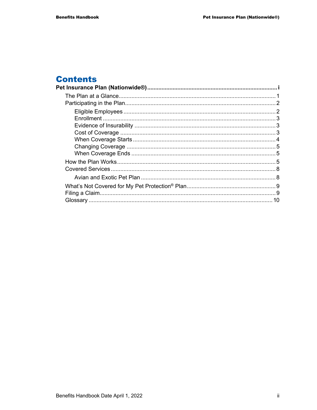#### **Contents**  $\overline{P_{\epsilon}}$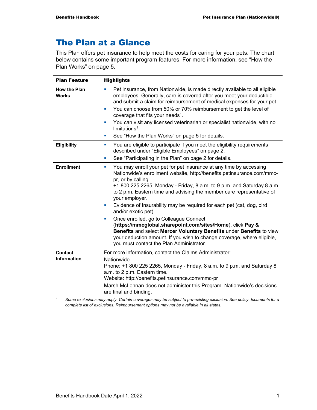# The Plan at a Glance

This Plan offers pet insurance to help meet the costs for caring for your pets. The chart below contains some important program features. For more information, see "How the Plan Works" on page 5.

| <b>Plan Feature</b>                 | <b>Highlights</b>                                                                                                                                                                                                                                                                                                                                                                                                                                                                                                                                                                                                                                                                                                                                             |
|-------------------------------------|---------------------------------------------------------------------------------------------------------------------------------------------------------------------------------------------------------------------------------------------------------------------------------------------------------------------------------------------------------------------------------------------------------------------------------------------------------------------------------------------------------------------------------------------------------------------------------------------------------------------------------------------------------------------------------------------------------------------------------------------------------------|
| <b>How the Plan</b><br><b>Works</b> | Pet insurance, from Nationwide, is made directly available to all eligible<br>a.<br>employees. Generally, care is covered after you meet your deductible<br>and submit a claim for reimbursement of medical expenses for your pet.<br>You can choose from 50% or 70% reimbursement to get the level of<br>×                                                                                                                                                                                                                                                                                                                                                                                                                                                   |
|                                     | coverage that fits your needs <sup>1</sup> .                                                                                                                                                                                                                                                                                                                                                                                                                                                                                                                                                                                                                                                                                                                  |
|                                     | You can visit any licensed veterinarian or specialist nationwide, with no<br>×<br>$limitations1$ .                                                                                                                                                                                                                                                                                                                                                                                                                                                                                                                                                                                                                                                            |
|                                     | See "How the Plan Works" on page 5 for details.<br>a.                                                                                                                                                                                                                                                                                                                                                                                                                                                                                                                                                                                                                                                                                                         |
| <b>Eligibility</b>                  | You are eligible to participate if you meet the eligibility requirements<br>×<br>described under "Eligible Employees" on page 2.                                                                                                                                                                                                                                                                                                                                                                                                                                                                                                                                                                                                                              |
|                                     | See "Participating in the Plan" on page 2 for details.<br>ш                                                                                                                                                                                                                                                                                                                                                                                                                                                                                                                                                                                                                                                                                                   |
| <b>Enrollment</b>                   | You may enroll your pet for pet insurance at any time by accessing<br>u,<br>Nationwide's enrollment website, http://benefits.petinsurance.com/mmc-<br>pr, or by calling<br>+1 800 225 2265, Monday - Friday, 8 a.m. to 9 p.m. and Saturday 8 a.m.<br>to 2 p.m. Eastern time and advising the member care representative of<br>your employer.<br>Evidence of Insurability may be required for each pet (cat, dog, bird<br>×<br>and/or exotic pet).<br>Once enrolled, go to Colleague Connect<br>o,<br>(https://mmcglobal.sharepoint.com/sites/Home), click Pay &<br>Benefits and select Mercer Voluntary Benefits under Benefits to view<br>your deduction amount. If you wish to change coverage, where eligible,<br>you must contact the Plan Administrator. |
| <b>Contact</b>                      | For more information, contact the Claims Administrator:                                                                                                                                                                                                                                                                                                                                                                                                                                                                                                                                                                                                                                                                                                       |
| <b>Information</b>                  | Nationwide<br>Phone: +1 800 225 2265, Monday - Friday, 8 a.m. to 9 p.m. and Saturday 8<br>a.m. to 2 p.m. Eastern time.<br>Website: http://benefits.petinsurance.com/mmc-pr                                                                                                                                                                                                                                                                                                                                                                                                                                                                                                                                                                                    |
|                                     | Marsh McLennan does not administer this Program. Nationwide's decisions<br>are final and binding.<br>Some evalutions may apply. Certain coverages may be subject to are evisting evalution. See policy documents for a                                                                                                                                                                                                                                                                                                                                                                                                                                                                                                                                        |

 *Some exclusions may apply. Certain coverages may be subject to pre-existing exclusion. See policy documents for a complete list of exclusions. Reimbursement options may not be available in all states.*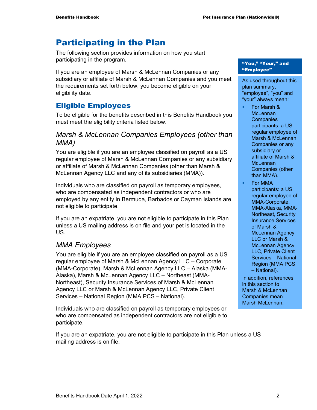# Participating in the Plan

The following section provides information on how you start participating in the program.

If you are an employee of Marsh & McLennan Companies or any subsidiary or affiliate of Marsh & McLennan Companies and you meet the requirements set forth below, you become eligible on your eligibility date.

# Eligible Employees

To be eligible for the benefits described in this Benefits Handbook you must meet the eligibility criteria listed below.

### *Marsh & McLennan Companies Employees (other than MMA)*

You are eligible if you are an employee classified on payroll as a US regular employee of Marsh & McLennan Companies or any subsidiary or affiliate of Marsh & McLennan Companies (other than Marsh & McLennan Agency LLC and any of its subsidiaries (MMA)).

Individuals who are classified on payroll as temporary employees, who are compensated as independent contractors or who are employed by any entity in Bermuda, Barbados or Cayman Islands are not eligible to participate.

If you are an expatriate, you are not eligible to participate in this Plan unless a US mailing address is on file and your pet is located in the US.

# *MMA Employees*

You are eligible if you are an employee classified on payroll as a US regular employee of Marsh & McLennan Agency LLC – Corporate (MMA-Corporate), Marsh & McLennan Agency LLC – Alaska (MMA-Alaska), Marsh & McLennan Agency LLC – Northeast (MMA-Northeast), Security Insurance Services of Marsh & McLennan Agency LLC or Marsh & McLennan Agency LLC, Private Client Services – National Region (MMA PCS – National).

Individuals who are classified on payroll as temporary employees or who are compensated as independent contractors are not eligible to participate.

If you are an expatriate, you are not eligible to participate in this Plan unless a US mailing address is on file.

#### "You," "Your," and "Employee"

As used throughout this plan summary, "employee", "you" and "your" always mean:

- For Marsh & **McLennan Companies** participants: a US regular employee of Marsh & McLennan Companies or any subsidiary or affiliate of Marsh & **McLennan** Companies (other than MMA).
- For MMA participants: a US regular employee of MMA-Corporate, MMA-Alaska, MMA-Northeast, Security Insurance Services of Marsh & McLennan Agency LLC or Marsh & McLennan Agency LLC, Private Client Services – National Region (MMA PCS – National).

In addition, references in this section to Marsh & McLennan Companies mean Marsh McLennan.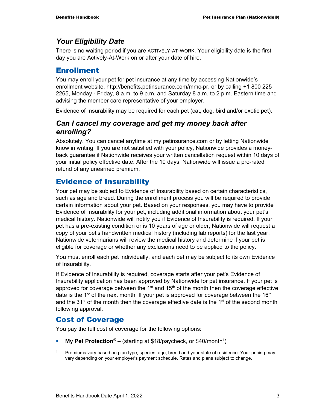# *Your Eligibility Date*

There is no waiting period if you are ACTIVELY-AT-WORK. Your eligibility date is the first day you are Actively-At-Work on or after your date of hire.

# Enrollment

You may enroll your pet for pet insurance at any time by accessing Nationwide's enrollment website, http://benefits.petinsurance.com/mmc-pr, or by calling +1 800 225 2265, Monday - Friday, 8 a.m. to 9 p.m. and Saturday 8 a.m. to 2 p.m. Eastern time and advising the member care representative of your employer.

Evidence of Insurability may be required for each pet (cat, dog, bird and/or exotic pet).

# *Can I cancel my coverage and get my money back after enrolling?*

Absolutely. You can cancel anytime at my.petinsurance.com or by letting Nationwide know in writing. If you are not satisfied with your policy, Nationwide provides a moneyback guarantee if Nationwide receives your written cancellation request within 10 days of your initial policy effective date. After the 10 days, Nationwide will issue a pro-rated refund of any unearned premium.

# Evidence of Insurability

Your pet may be subject to Evidence of Insurability based on certain characteristics, such as age and breed. During the enrollment process you will be required to provide certain information about your pet. Based on your responses, you may have to provide Evidence of Insurability for your pet, including additional information about your pet's medical history. Nationwide will notify you if Evidence of Insurability is required. If your pet has a pre-existing condition or is 10 years of age or older, Nationwide will request a copy of your pet's handwritten medical history (including lab reports) for the last year. Nationwide veterinarians will review the medical history and determine if your pet is eligible for coverage or whether any exclusions need to be applied to the policy.

You must enroll each pet individually, and each pet may be subject to its own Evidence of Insurability.

If Evidence of Insurability is required, coverage starts after your pet's Evidence of Insurability application has been approved by Nationwide for pet insurance. If your pet is approved for coverage between the  $1<sup>st</sup>$  and  $15<sup>th</sup>$  of the month then the coverage effective date is the 1<sup>st</sup> of the next month. If your pet is approved for coverage between the 16<sup>th</sup> and the  $31<sup>st</sup>$  of the month then the coverage effective date is the  $1<sup>st</sup>$  of the second month following approval.

# Cost of Coverage

You pay the full cost of coverage for the following options:

- **My Pet Protection<sup>®</sup> (starting at \$18/paycheck, or \$40/month<sup>1</sup>)**
- <sup>1</sup> Premiums vary based on plan type, species, age, breed and your state of residence. Your pricing may vary depending on your employer's payment schedule. Rates and plans subject to change.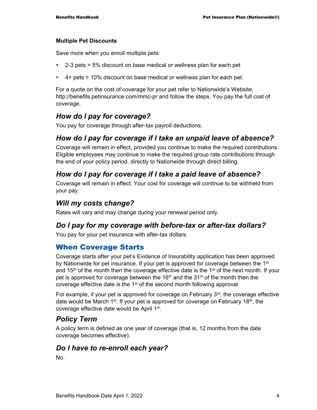#### **Multiple Pet Discounts**

Save more when you enroll multiple pets:

- $\approx$  2-3 pets = 5% discount on base medical or wellness plan for each pet
- $\blacksquare$  4+ pets = 10% discount on base medical or wellness plan for each pet.

For a quote on the cost of coverage for your pet refer to Nationwide's Website, http://benefits.petinsurance.com/mmc-pr and follow the steps. You pay the full cost of coverage.

# *How do I pay for coverage?*

You pay for coverage through after-tax payroll deductions.

# *How do I pay for coverage if I take an unpaid leave of absence?*

Coverage will remain in effect, provided you continue to make the required contributions. Eligible employees may continue to make the required group rate contributions through the end of your policy period, directly to Nationwide through direct billing.

# *How do I pay for coverage if I take a paid leave of absence?*

Coverage will remain in effect. Your cost for coverage will continue to be withheld from your pay.

# *Will my costs change?*

Rates will vary and may change during your renewal period only.

#### *Do I pay for my coverage with before-tax or after-tax dollars?*

You pay for your pet insurance with after-tax dollars.

# When Coverage Starts

Coverage starts after your pet's Evidence of Insurability application has been approved by Nationwide for pet insurance. If your pet is approved for coverage between the  $1<sup>st</sup>$ and  $15<sup>th</sup>$  of the month then the coverage effective date is the  $1<sup>st</sup>$  of the next month. If your pet is approved for coverage between the 16<sup>th</sup> and the 31<sup>st</sup> of the month then the coverage effective date is the  $1<sup>st</sup>$  of the second month following approval.

For example, if your pet is approved for coverage on February  $3<sup>rd</sup>$ , the coverage effective date would be March 1<sup>st</sup>. If your pet is approved for coverage on February 18<sup>th</sup>, the coverage effective date would be April 1st.

# *Policy Term*

A policy term is defined as one year of coverage (that is, 12 months from the date coverage becomes effective).

# *Do I have to re-enroll each year?*

No.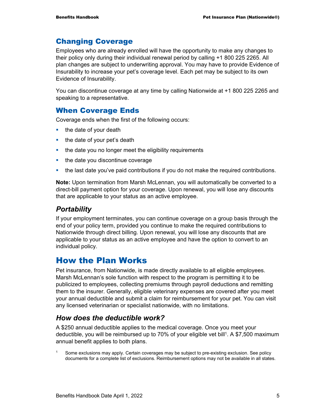# Changing Coverage

Employees who are already enrolled will have the opportunity to make any changes to their policy only during their individual renewal period by calling +1 800 225 2265. All plan changes are subject to underwriting approval. You may have to provide Evidence of Insurability to increase your pet's coverage level. Each pet may be subject to its own Evidence of Insurability.

You can discontinue coverage at any time by calling Nationwide at +1 800 225 2265 and speaking to a representative.

# When Coverage Ends

Coverage ends when the first of the following occurs:

- $\blacksquare$  the date of your death
- $\blacksquare$  the date of your pet's death
- the date you no longer meet the eligibility requirements
- $\blacksquare$  the date you discontinue coverage
- the last date you've paid contributions if you do not make the required contributions.

**Note:** Upon termination from Marsh McLennan, you will automatically be converted to a direct-bill payment option for your coverage. Upon renewal, you will lose any discounts that are applicable to your status as an active employee.

# *Portability*

If your employment terminates, you can continue coverage on a group basis through the end of your policy term, provided you continue to make the required contributions to Nationwide through direct billing. Upon renewal, you will lose any discounts that are applicable to your status as an active employee and have the option to convert to an individual policy.

# How the Plan Works

Pet insurance, from Nationwide, is made directly available to all eligible employees. Marsh McLennan's sole function with respect to the program is permitting it to be publicized to employees, collecting premiums through payroll deductions and remitting them to the insurer. Generally, eligible veterinary expenses are covered after you meet your annual deductible and submit a claim for reimbursement for your pet. You can visit any licensed veterinarian or specialist nationwide, with no limitations.

# *How does the deductible work?*

A \$250 annual deductible applies to the medical coverage. Once you meet your deductible, you will be reimbursed up to 70% of your eligible vet bill<sup>1</sup>. A \$7,500 maximum annual benefit applies to both plans.

<sup>1</sup> Some exclusions may apply. Certain coverages may be subject to pre-existing exclusion. See policy documents for a complete list of exclusions. Reimbursement options may not be available in all states.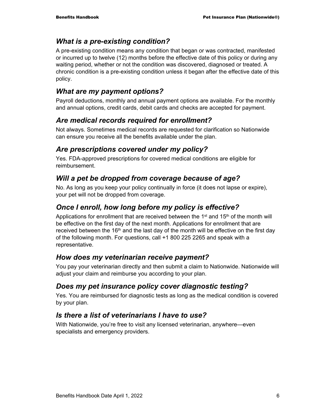# *What is a pre-existing condition?*

A pre-existing condition means any condition that began or was contracted, manifested or incurred up to twelve (12) months before the effective date of this policy or during any waiting period, whether or not the condition was discovered, diagnosed or treated. A chronic condition is a pre-existing condition unless it began after the effective date of this policy.

# *What are my payment options?*

Payroll deductions, monthly and annual payment options are available. For the monthly and annual options, credit cards, debit cards and checks are accepted for payment.

# *Are medical records required for enrollment?*

Not always. Sometimes medical records are requested for clarification so Nationwide can ensure you receive all the benefits available under the plan.

# *Are prescriptions covered under my policy?*

Yes. FDA-approved prescriptions for covered medical conditions are eligible for reimbursement.

# *Will a pet be dropped from coverage because of age?*

No. As long as you keep your policy continually in force (it does not lapse or expire), your pet will not be dropped from coverage.

# *Once I enroll, how long before my policy is effective?*

Applications for enrollment that are received between the  $1<sup>st</sup>$  and  $15<sup>th</sup>$  of the month will be effective on the first day of the next month. Applications for enrollment that are received between the 16<sup>th</sup> and the last day of the month will be effective on the first day of the following month. For questions, call +1 800 225 2265 and speak with a representative.

# *How does my veterinarian receive payment?*

You pay your veterinarian directly and then submit a claim to Nationwide. Nationwide will adjust your claim and reimburse you according to your plan.

# *Does my pet insurance policy cover diagnostic testing?*

Yes. You are reimbursed for diagnostic tests as long as the medical condition is covered by your plan.

# *Is there a list of veterinarians I have to use?*

With Nationwide, you're free to visit any licensed veterinarian, anywhere—even specialists and emergency providers.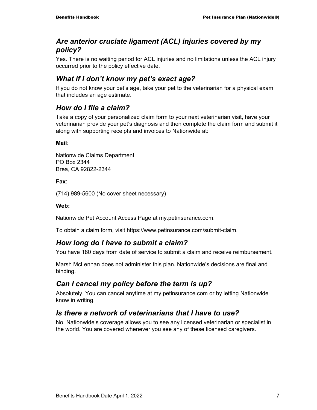# *Are anterior cruciate ligament (ACL) injuries covered by my policy?*

Yes. There is no waiting period for ACL injuries and no limitations unless the ACL injury occurred prior to the policy effective date.

# *What if I don't know my pet's exact age?*

If you do not know your pet's age, take your pet to the veterinarian for a physical exam that includes an age estimate.

# *How do I file a claim?*

Take a copy of your personalized claim form to your next veterinarian visit, have your veterinarian provide your pet's diagnosis and then complete the claim form and submit it along with supporting receipts and invoices to Nationwide at:

**Mail**:

Nationwide Claims Department PO Box 2344 Brea, CA 92822-2344

**Fax**:

(714) 989-5600 (No cover sheet necessary)

#### **Web:**

Nationwide Pet Account Access Page at my.petinsurance.com.

To obtain a claim form, visit https://www.petinsurance.com/submit-claim.

# *How long do I have to submit a claim?*

You have 180 days from date of service to submit a claim and receive reimbursement.

Marsh McLennan does not administer this plan. Nationwide's decisions are final and binding.

# *Can I cancel my policy before the term is up?*

Absolutely. You can cancel anytime at my.petinsurance.com or by letting Nationwide know in writing.

# *Is there a network of veterinarians that I have to use?*

No. Nationwide's coverage allows you to see any licensed veterinarian or specialist in the world. You are covered whenever you see any of these licensed caregivers.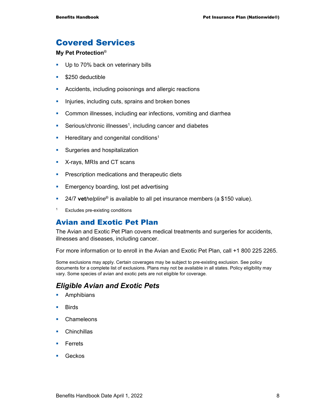# Covered Services

#### **My Pet Protection**®

- Up to 70% back on veterinary bills
- **S250** deductible
- **Accidents, including poisonings and allergic reactions**
- **Injuries, including cuts, sprains and broken bones**
- **Common illnesses, including ear infections, vomiting and diarrhea**
- Serious/chronic illnesses<sup>1</sup>, including cancer and diabetes
- **Hereditary and congenital conditions<sup>1</sup>**
- **Surgeries and hospitalization**
- **X-rays, MRIs and CT scans**
- **Prescription medications and therapeutic diets**
- **Emergency boarding, lost pet advertising**
- 24/7 **vet***helpline*® is available to all pet insurance members (a \$150 value).
- 1 Excludes pre-existing conditions

### Avian and Exotic Pet Plan

The Avian and Exotic Pet Plan covers medical treatments and surgeries for accidents, illnesses and diseases, including cancer.

For more information or to enroll in the Avian and Exotic Pet Plan, call +1 800 225 2265.

Some exclusions may apply. Certain coverages may be subject to pre-existing exclusion. See policy documents for a complete list of exclusions. Plans may not be available in all states. Policy eligibility may vary. Some species of avian and exotic pets are not eligible for coverage.

# *Eligible Avian and Exotic Pets*

- **Amphibians**
- **Birds**
- Chameleons
- **Chinchillas**
- **Ferrets**
- Geckos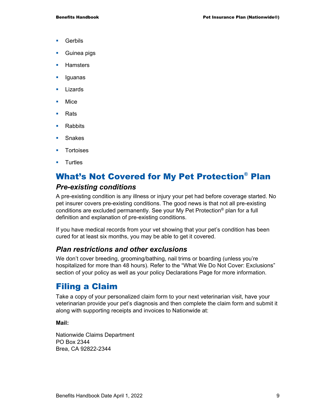- **Gerbils**
- **Guinea pigs**
- **Hamsters**
- **Iguanas**
- **Lizards**
- **Mice**
- **Rats**
- Rabbits
- **Snakes**
- **Tortoises**
- **Turtles**

# What's Not Covered for My Pet Protection® Plan

### *Pre-existing conditions*

A pre-existing condition is any illness or injury your pet had before coverage started. No pet insurer covers pre-existing conditions. The good news is that not all pre-existing conditions are excluded permanently. See your My Pet Protection® plan for a full definition and explanation of pre-existing conditions.

If you have medical records from your vet showing that your pet's condition has been cured for at least six months, you may be able to get it covered.

# *Plan restrictions and other exclusions*

We don't cover breeding, grooming/bathing, nail trims or boarding (unless you're hospitalized for more than 48 hours). Refer to the "What We Do Not Cover: Exclusions" section of your policy as well as your policy Declarations Page for more information.

# Filing a Claim

Take a copy of your personalized claim form to your next veterinarian visit, have your veterinarian provide your pet's diagnosis and then complete the claim form and submit it along with supporting receipts and invoices to Nationwide at:

#### **Mail:**

Nationwide Claims Department PO Box 2344 Brea, CA 92822-2344